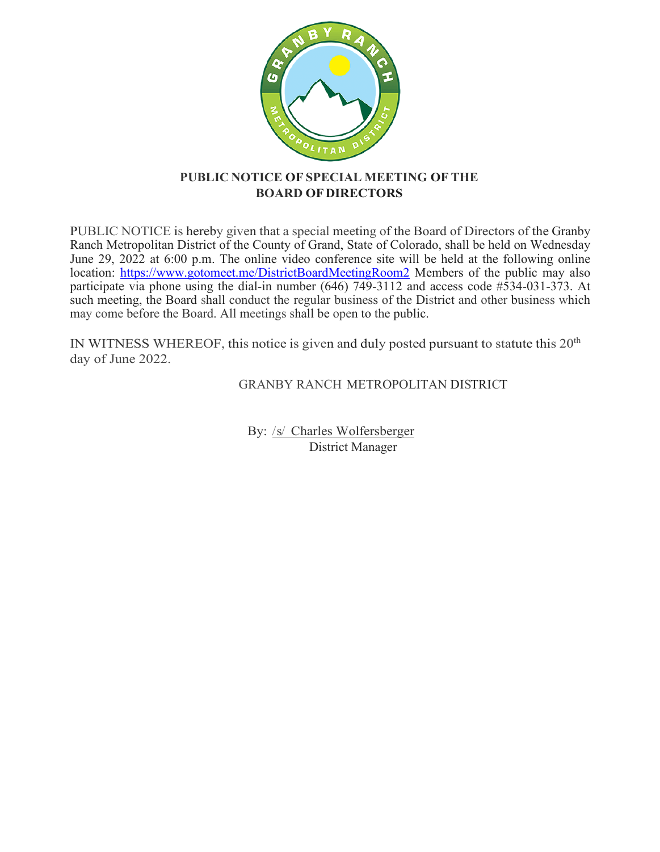

## **PUBLIC NOTICE OF SPECIAL MEETING OFTHE BOARD OFDIRECTORS**

PUBLIC NOTICE is hereby given that a special meeting of the Board of Directors of the Granby Ranch Metropolitan District of the County of Grand, State of Colorado, shall be held on Wednesday June 29, 2022 at 6:00 p.m. The online video conference site will be held at the following online location:<https://www.gotomeet.me/DistrictBoardMeetingRoom2> Members of the public may also participate via phone using the dial-in number (646) 749-3112 and access code #534-031-373. At such meeting, the Board shall conduct the regular business of the District and other business which may come before the Board. All meetings shall be open to the public.

IN WITNESS WHEREOF, this notice is given and duly posted pursuant to statute this  $20<sup>th</sup>$ day of June 2022.

GRANBY RANCH METROPOLITAN DISTRICT

By: /s/ Charles Wolfersberger District Manager